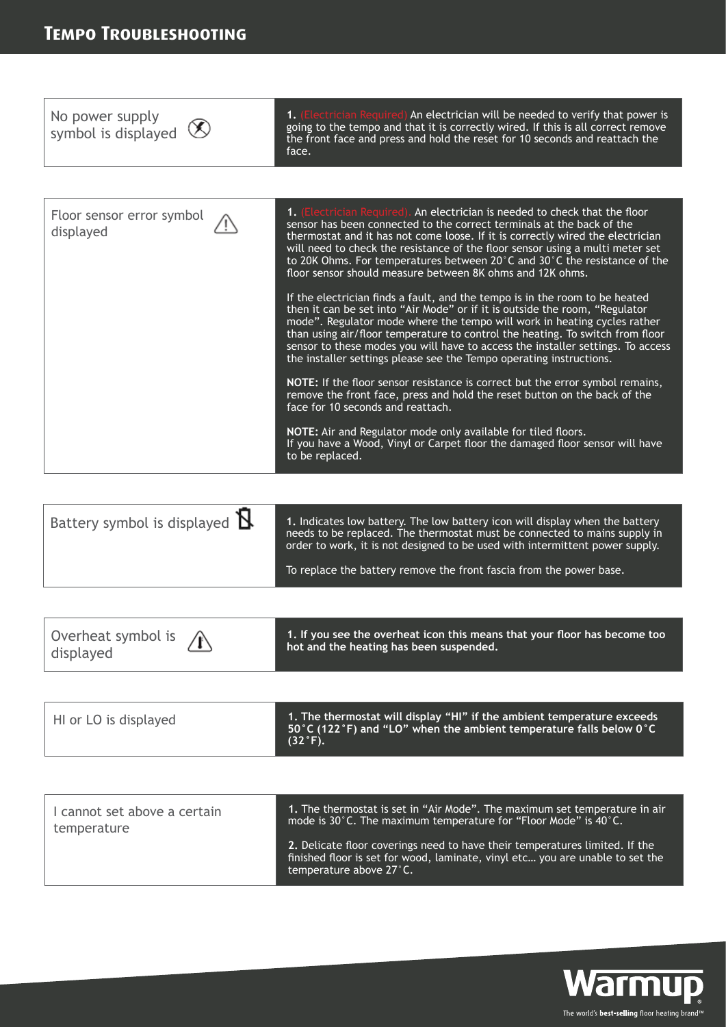

| Battery symbol is displayed ${\bf R}$ | 1. Indicates low battery. The low battery icon will display when the battery<br>needs to be replaced. The thermostat must be connected to mains supply in<br>order to work, it is not designed to be used with intermittent power supply.<br>To replace the battery remove the front fascia from the power base. |
|---------------------------------------|------------------------------------------------------------------------------------------------------------------------------------------------------------------------------------------------------------------------------------------------------------------------------------------------------------------|
|                                       |                                                                                                                                                                                                                                                                                                                  |

| $^\prime$ 1. The thermostat will display "HI" if the ambient temperature exceeds ,<br>HI or LO is displayed<br>$^\circ$ 50 $^\circ$ C (122 $^\circ$ F) and "LO" when the ambient temperature falls below 0 $^\circ$ C<br>$(32°F)$ . |
|-------------------------------------------------------------------------------------------------------------------------------------------------------------------------------------------------------------------------------------|
|-------------------------------------------------------------------------------------------------------------------------------------------------------------------------------------------------------------------------------------|

| I cannot set above a certain | 1. The thermostat is set in "Air Mode". The maximum set temperature in air                                                                                                              |
|------------------------------|-----------------------------------------------------------------------------------------------------------------------------------------------------------------------------------------|
| temperature                  | mode is $30^{\circ}$ C. The maximum temperature for "Floor Mode" is 40 $^{\circ}$ C.                                                                                                    |
|                              | 2. Delicate floor coverings need to have their temperatures limited. If the<br>finished floor is set for wood, laminate, vinyl etc you are unable to set the<br>temperature above 27°C. |